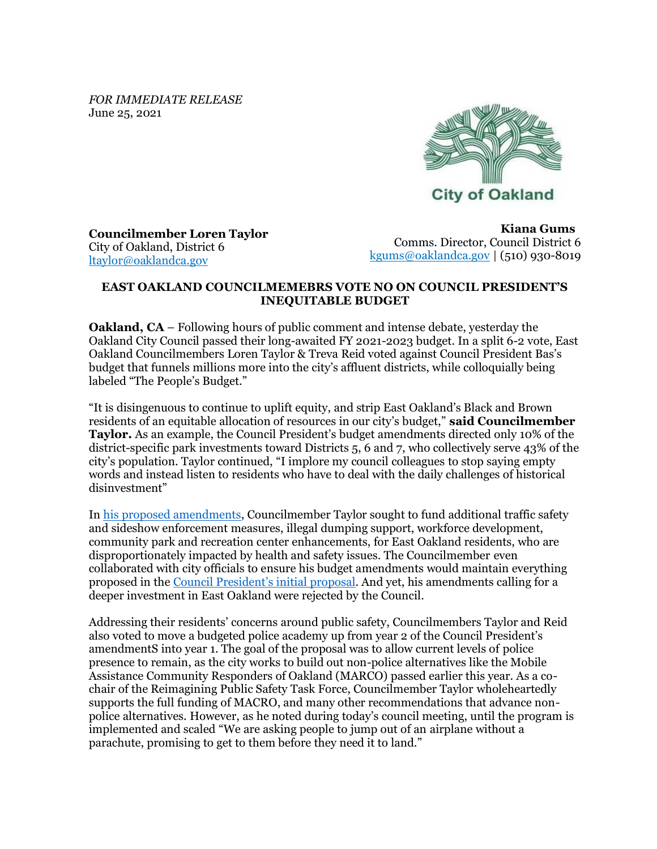*FOR IMMEDIATE RELEASE* June 25, 2021



**Councilmember Loren Taylor** City of Oakland, District 6 [ltaylor@oaklandca.gov](mailto:ltaylor@oaklandca.gov)

**Kiana Gums**  Comms. Director, Council District 6 [kgums@oaklandca.gov](mailto:kgums@oaklandca.gov) | (510) 930-8019

## **EAST OAKLAND COUNCILMEMEBRS VOTE NO ON COUNCIL PRESIDENT'S INEQUITABLE BUDGET**

**Oakland, CA** – Following hours of public comment and intense debate, yesterday the Oakland City Council passed their long-awaited FY 2021-2023 budget. In a split 6-2 vote, East Oakland Councilmembers Loren Taylor & Treva Reid voted against Council President Bas's budget that funnels millions more into the city's affluent districts, while colloquially being labeled "The People's Budget."

"It is disingenuous to continue to uplift equity, and strip East Oakland's Black and Brown residents of an equitable allocation of resources in our city's budget," **said Councilmember Taylor.** As an example, the Council President's budget amendments directed only 10% of the district-specific park investments toward Districts 5, 6 and 7, who collectively serve 43% of the city's population. Taylor continued, "I implore my council colleagues to stop saying empty words and instead listen to residents who have to deal with the daily challenges of historical disinvestment"

In [his proposed amendments,](https://oakland.legistar.com/View.ashx?M=F&ID=9505238&GUID=89D2A01B-7FD4-49E7-82C6-F73271BFDB91) Councilmember Taylor sought to fund additional traffic safety and sideshow enforcement measures, illegal dumping support, workforce development, community park and recreation center enhancements, for East Oakland residents, who are disproportionately impacted by health and safety issues. The Councilmember even collaborated with city officials to ensure his budget amendments would maintain everything proposed in the [Council President's initial proposal](https://oakland.legistar.com/View.ashx?M=F&ID=9478503&GUID=8EC97AAA-AB1F-4E62-9B18-C822FEA9B74A). And yet, his amendments calling for a deeper investment in East Oakland were rejected by the Council.

Addressing their residents' concerns around public safety, Councilmembers Taylor and Reid also voted to move a budgeted police academy up from year 2 of the Council President's amendmentS into year 1. The goal of the proposal was to allow current levels of police presence to remain, as the city works to build out non-police alternatives like the Mobile Assistance Community Responders of Oakland (MARCO) passed earlier this year. As a cochair of the Reimagining Public Safety Task Force, Councilmember Taylor wholeheartedly supports the full funding of MACRO, and many other recommendations that advance nonpolice alternatives. However, as he noted during today's council meeting, until the program is implemented and scaled "We are asking people to jump out of an airplane without a parachute, promising to get to them before they need it to land."